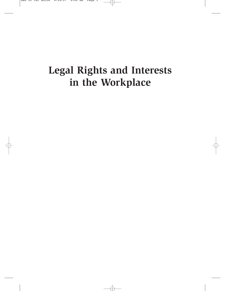# **Legal Rights and Interests in the Workplace**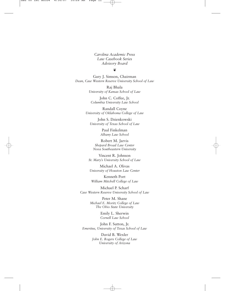*Carolina Academic Press Law Casebook Series Advisory Board*

#### ❦

Gary J. Simson, Chairman *Dean, Case Western Reserve University School of Law*

> Raj Bhala *University of Kansas School of Law*

John C. Coffee, Jr. *Columbia University Law School*

Randall Coyne *University of Oklahoma College of Law*

John S. Dzienkowski *University of Texas School of Law*

> Paul Finkelman *Albany Law School*

Robert M. Jarvis *Shepard Broad Law Center Nova Southeastern University*

Vincent R. Johnson *St. Mary's University School of Law*

Michael A. Olivas *University of Houston Law Center*

Kenneth Port *William Mitchell College of Law*

Michael P. Scharf *Case Western Reserve University School of Law*

> Peter M. Shane *Michael E. Moritz College of Law The Ohio State University*

> > Emily L. Sherwin *Cornell Law School*

John F. Sutton, Jr. *Emeritus, University of Texas School of Law*

> David B. Wexler *John E. Rogers College of Law University of Arizona*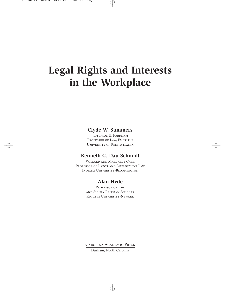# **Legal Rights and Interests in the Workplace**

#### **Clyde W. Summers**

JEFFERSON B. FORDHAM PROFESSOR OF LAW, EMERITUS University of Pennsylvania

#### **Kenneth G. Dau-Schmidt**

Willard and Margaret Carr Professor of Labor and Employment Law Indiana University-Bloomington

#### **Alan Hyde**

PROFESSOR OF LAW and Sidney Reitman Scholar Rutgers University-Newark

Carolina Academic Press

Durham, North Carolina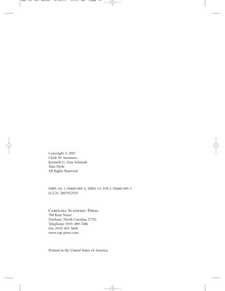Copyright © 2007 Clyde W. Summers Kenneth G. Dau-Schmidt Alan Hyde All Rights Reserved

ISBN-10: 1-59460-095-3, ISBN-13: 978-1-59460-095-1 LCCN: 2007922555

Carolina Academic Press 700 Kent Street Durham, North Carolina 27701 Telephone (919) 489-7486 Fax (919) 493-5668 www.cap-press.com

Printed in the United States of America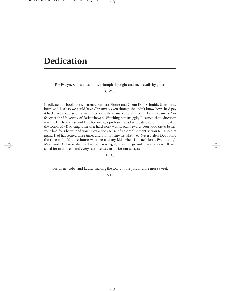## **Dedication**

For Evelyn, who shares in my triumphs by right and my travails by grace.

C.W.S.

I dedicate this book to my parents, Barbara Bloom and Glenn Dau-Schmidt. Mom once borrowed \$100 so we could have Christmas, even though she didn't know how she'd pay it back. In the course of raising three kids, she managed to get her PhD and became a Professor at the University of Saskatchewan. Watching her struggle, I learned that education was the key to success and that becoming a professor was the greatest accomplishment in the world. My Dad taught me that hard work was its own reward; your food tastes better, your bed feels better and you enjoy a deep sense of accomplishment as you fall asleep at night. Dad has retired three times and I'm not sure it's taken yet. Nevertheless Dad found the time to build a treehouse with me and my kids when I turned forty. Even though Mom and Dad were divorced when I was eight, my siblings and I have always felt well cared for and loved, and every sacrifice was made for our success.

K.D.S

For Ellen, Toby, and Laura, making the world more just and life more sweet.

A.H.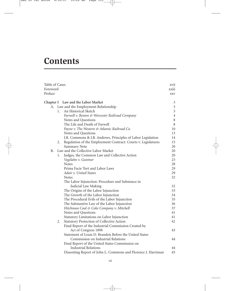## **Contents**

| Table of Cases |         |                                                               | xvii           |
|----------------|---------|---------------------------------------------------------------|----------------|
| Foreword       |         |                                                               | xxiii          |
| Preface        |         |                                                               | <b>XXV</b>     |
|                |         | Chapter I Law and the Labor Market                            | 3              |
| А.             |         | Law and the Employment Relationship                           | $\mathfrak{Z}$ |
|                | $1_{-}$ | An Historical Sketch                                          | $\mathfrak{Z}$ |
|                |         | Farwell v. Boston & Worcester Railroad Company                | $\overline{4}$ |
|                |         | Notes and Questions                                           | $\,$ 8 $\,$    |
|                |         | The Life and Death of Farwell                                 | 8              |
|                |         | Payne v. The Western & Atlantic Railroad Co.                  | 10             |
|                |         | Notes and Questions                                           | 13             |
|                |         | J.R. Commons & J.B. Andrews, Principles of Labor Legislation  | 14             |
|                | 2.      | Regulation of the Employment Contract: Courts v. Legislatures | 15             |
|                |         | <b>Summary Note</b>                                           | 20             |
| B.             |         | Law and the Collective Labor Market                           | 20             |
|                | 1.      | Judges, the Common Law and Collective Action                  | 20             |
|                |         | Vegelahn v. Guntner                                           | 23             |
|                |         | <b>Notes</b>                                                  | 28             |
|                |         | Prima Facie Tort and Labor Laws                               | 29             |
|                |         | Adair v. United States                                        | 29             |
|                |         | <b>Notes</b>                                                  | 32             |
|                |         | The Labor Injunction: Procedure and Substance in              |                |
|                |         | Judicial Law Making                                           | 32             |
|                |         | The Origins of the Labor Injunction                           | 33             |
|                |         | The Growth of the Labor Injunction                            | 34             |
|                |         | The Procedural Evils of the Labor Injunction                  | 35             |
|                |         | The Substantive Law of the Labor Injunction                   | 36             |
|                |         | Hitchman Coal & Coke Company v. Mitchell                      | 37             |
|                |         | Notes and Questions                                           | 41             |
|                |         | Statutory Limitations on Labor Injunction                     | 41             |
|                | 2.      | Statutory Protection of Collective Action                     | 42             |
|                |         | Final Report of the Industrial Commission Created by          |                |
|                |         | Act of Congress 1898                                          | 43             |
|                |         | Statement of Louis D. Brandeis Before the United States       |                |
|                |         | Commission on Industrial Relations                            | 44             |
|                |         | Final Report of the United States Commission on               |                |
|                |         | <b>Industrial Relations</b>                                   | 44             |
|                |         | Dissenting Report of John L. Commons and Florence J. Harriman | 45             |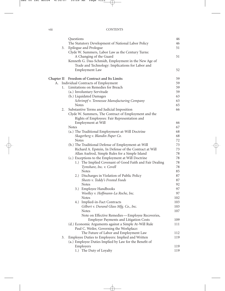|    |    | Questions                                               | 46  |
|----|----|---------------------------------------------------------|-----|
|    |    | The Statutory Development of National Labor Policy      | 46  |
|    | 3. | Epilogue and Prologue                                   | 51  |
|    |    | Clyde W. Summers, Labor Law as the Century Turns:       |     |
|    |    | A Changing of the Guard                                 | 51  |
|    |    | Kenneth G. Dau-Schmidt, Employment in the New Age of    |     |
|    |    | Trade and Technology: Implications for Labor and        |     |
|    |    | <b>Employment Law</b>                                   | 52  |
|    |    | Chapter II Freedom of Contract and Its Limits           | 59  |
| А. |    | Individual Contracts of Employment                      | 59  |
|    | 1. | Limitations on Remedies for Breach                      | 59  |
|    |    | (a.) Involuntary Servitude                              | 59  |
|    |    | (b.) Liquidated Damages                                 | 63  |
|    |    | Schrimpf v. Tennessee Manufacturing Company             | 63  |
|    |    | <b>Notes</b>                                            | 65  |
|    | 2. | Substantive Terms and Judicial Imposition               | 66  |
|    |    | Clyde W. Summers, The Contract of Employment and the    |     |
|    |    | Rights of Employees: Fair Representation and            |     |
|    |    | Employment at Will                                      | 66  |
|    |    | <b>Notes</b>                                            | 67  |
|    |    | (a.) The Traditional Employment-at-Will Doctrine        | 68  |
|    |    | Skagerberg v. Blandin Paper Co.                         | 68  |
|    |    | <b>Notes</b>                                            | 72  |
|    |    | (b.) The Traditional Defense of Employment-at-Will      | 73  |
|    |    | Richard A. Epstein, In Defense of the Contract at Will  | 73  |
|    |    | Allan Axelrod, Simple Rules for a Simple Island         | 78  |
|    |    | (c.) Exceptions to the Employment at Will Doctrine      | 78  |
|    |    | 1.) The Implied Covenant of Good Faith and Fair Dealing | 78  |
|    |    | Tymshare, Inc. v. Covell                                | 78  |
|    |    | Notes                                                   | 85  |
|    |    | 2.) Discharges in Violation of Public Policy            | 87  |
|    |    | Sheets v. Teddy's Frosted Foods                         | 87  |
|    |    | <b>Notes</b>                                            | 92  |
|    |    | 3.) Employee Handbooks                                  | 97  |
|    |    | Woolley v. Hoffmann-La Roche, Inc.                      | 97  |
|    |    | <b>Notes</b>                                            | 102 |
|    |    | 4.) Implied-in-Fact Contracts                           | 103 |
|    |    | Gilbert v. Durand Glass Mfg. Co., Inc.                  | 103 |
|    |    | <b>Notes</b>                                            | 107 |
|    |    | Note on Effective Remedies - Employee Recoveries,       |     |
|    |    | <b>Employer Payments and Litigation Costs</b>           | 109 |
|    |    | (d.) Economic Arguments against a Simple At-Will Rule   | 111 |
|    |    | Paul C. Weiler, Governing the Workplace:                |     |
|    |    | The Future of Labor and Employment Law                  | 112 |
|    | 3. | Employee Duties to Employers: Implied and Written       | 119 |
|    |    | (a.) Employee Duties Implied by Law for the Benefit of  |     |
|    |    | Employers                                               | 119 |
|    |    | 1.) The Duty of Loyalty                                 | 119 |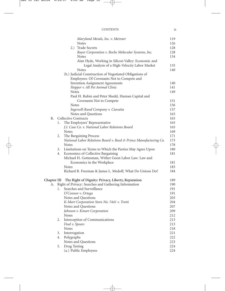| <b>CONTENTS</b> |  |
|-----------------|--|
|                 |  |

|             |    | Maryland Metals, Inc. v. Metzner                                  | 119 |
|-------------|----|-------------------------------------------------------------------|-----|
|             |    | <b>Notes</b>                                                      | 126 |
|             |    | 2.) Trade Secrets                                                 | 128 |
|             |    | Bayer Corporation v. Roche Molecular Systems, Inc.                | 128 |
|             |    | <b>Notes</b>                                                      | 134 |
|             |    | Alan Hyde, Working in Silicon Valley: Economic and                |     |
|             |    | Legal Analysis of a High-Velocity Labor Market                    | 135 |
|             |    | <b>Notes</b>                                                      | 140 |
|             |    | (b.) Judicial Construction of Negotiated Obligations of           |     |
|             |    | Employees: Of Covenants Not to Compete and                        |     |
|             |    | <b>Invention Assignment Agreements</b>                            | 140 |
|             |    | Hopper v. All Pet Animal Clinic                                   | 141 |
|             |    | <b>Notes</b>                                                      | 149 |
|             |    | Paul H. Rubin and Peter Shedd, Human Capital and                  |     |
|             |    | Covenants Not to Compete                                          | 151 |
|             |    | <b>Notes</b>                                                      | 156 |
|             |    | Ingersoll-Rand Company v. Ciavatta                                | 157 |
|             |    | Notes and Questions                                               | 163 |
| В.          |    | Collective Contracts                                              | 165 |
|             | 1. | The Employees' Representative                                     | 165 |
|             |    | J.I. Case Co. v. National Labor Relations Board                   | 165 |
|             |    | <b>Notes</b>                                                      | 169 |
|             | 2. | The Bargaining Process                                            | 171 |
|             |    | National Labor Relations Board v. Reed & Prince Manufacturing Co. | 173 |
|             |    | <b>Notes</b>                                                      | 178 |
|             | 3. | Limitations on Terms to Which the Parties May Agree Upon          | 180 |
|             | 4. | Economics of Collective Bargaining                                | 181 |
|             |    | Michael H. Gottesman, Wither Goest Labor Law: Law and             |     |
|             |    | Economics in the Workplace                                        | 181 |
|             |    | Notes                                                             | 183 |
|             |    | Richard B. Freeman & James L. Medoff, What Do Unions Do?          | 184 |
|             |    |                                                                   |     |
| Chapter III |    | The Right of Dignity: Privacy, Liberty, Reputation                | 189 |
| А.          |    | Right of Privacy: Searches and Gathering Information              | 190 |
|             | 1. | Searches and Surveillance                                         | 191 |
|             |    | O'Connor v. Ortega                                                | 191 |
|             |    | Notes and Questions                                               | 203 |
|             |    | K-Mart Corporation Store No. 7441 v. Trotti                       | 204 |
|             |    | Notes and Questions                                               | 207 |
|             |    | Johnson v. Kmart Corporation                                      | 209 |
|             |    | <b>Notes</b>                                                      | 212 |
|             | 2. | Interception of Communications                                    | 213 |
|             |    | Deal v. Spears                                                    | 213 |
|             |    | <b>Notes</b>                                                      | 218 |
|             | 3. | Interrogation                                                     | 221 |
|             | 4. | Polygraphs                                                        | 222 |
|             |    | Notes and Questions                                               | 223 |
|             | 5. | Drug Testing                                                      | 224 |
|             |    | (a.) Public Employees                                             | 224 |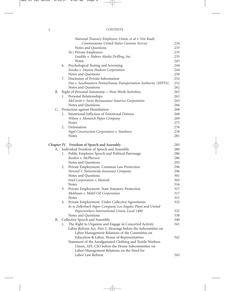|  | <b>CONTENTS</b> |  |  |  |  |  |
|--|-----------------|--|--|--|--|--|
|  |                 |  |  |  |  |  |

|           | National Treasury Employees Union, et al v. Von Raab,             |     |
|-----------|-------------------------------------------------------------------|-----|
|           | <b>Commissioner United States Customs Service</b>                 | 224 |
|           | Notes and Questions                                               | 233 |
|           | (b.) Private Employees                                            | 235 |
|           | Luedtke v. Nabors Alaska Drilling, Inc.                           | 235 |
|           | Notes                                                             | 243 |
|           | Psychological Testing and Screening<br>6.                         | 244 |
|           | Soroka v. Dayton Hudson Corporation                               | 244 |
|           | Notes and Questions                                               | 250 |
|           | Disclosure of Private Information<br>7.                           | 252 |
|           | Doe v. Southeastern Pennsylvania Transportation Authority (SEPTA) | 252 |
|           | Notes and Questions                                               | 262 |
| <b>B.</b> | Right of Personal Autonomy-Non-Work Activities                    | 263 |
|           | Personal Relationships<br>1.                                      | 263 |
|           | McCavitt v. Swiss Reinsurance America Corporation                 | 263 |
|           | Notes and Questions                                               | 266 |
| C.        | Protection against Humiliation                                    | 268 |
|           | Intentional Infliction of Emotional Distress<br>1.                | 268 |
|           | Wilson v. Monarch Paper Company                                   | 269 |
|           | <b>Notes</b>                                                      | 275 |
|           | Defamation<br>2.                                                  | 276 |
|           | Sigal Construction Corporation v. Stanbury                        | 276 |
|           | <b>Notes</b>                                                      | 281 |
|           | Chapter IV Freedom of Speech and Assembly                         | 285 |
| А.        | Individual Freedom of Speech and Assembly                         | 286 |
|           | Public Employee Speech and Political Patronage<br>1.              | 286 |
|           | Rankin v. McPherson                                               | 286 |
|           | Notes and Questions                                               | 293 |
|           | Private Employment: Common Law Protection<br>2.                   | 296 |
|           | Novosel v. Nationwide Insurance Company                           | 296 |
|           | Notes and Questions                                               | 301 |
|           | Intel Corporation v. Hamidi                                       | 303 |
|           | <b>Notes</b>                                                      | 316 |
|           | Private Employment: State Statutory Protection<br>3.              | 317 |
|           | Mehlman v. Mobil Oil Corporation                                  | 317 |
|           | <b>Notes</b>                                                      | 331 |
|           | Private Employment: Under Collective Agreements                   | 332 |
|           | In re Zellerbach Paper Company, Los Angeles Plant and United      |     |
|           | Paperworkers International Union, Local 1400                      | 332 |
|           | Notes and Questions                                               | 338 |
| В.        | Collective Speech and Assembly                                    | 340 |
|           | The Right to Organize and Engage in Concerted Activity<br>1.      | 341 |
|           | Labor Reform Act, Part 2, Hearings before the Subcomittee on      |     |
|           | Labor Management Relations of the Committee on                    |     |
|           | Education & Labor, House of Representatives                       | 342 |
|           | Statement of the Amalgamated Clothing and Textile Workers         |     |
|           | Union, AFL-CIO before the House Subcommittee on                   |     |
|           | Labor-Management Relations on the Need for                        |     |
|           | Labor Law Reform                                                  | 343 |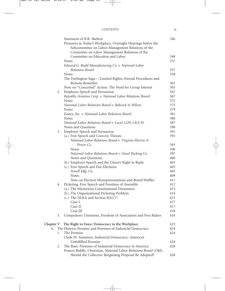|           |    | Statement of B.R. Skelton                                       | 346 |
|-----------|----|-----------------------------------------------------------------|-----|
|           |    | Pressures in Today's Workplace, Oversight Hearings before the   |     |
|           |    | Subcommittee on Labor-Management Relations of the               |     |
|           |    | Committee on Labor Management Relations of the                  |     |
|           |    | Committee on Education and Labor                                | 348 |
|           |    | <b>Notes</b>                                                    | 357 |
|           |    | Edward G. Budd Manufacturing Co. v. National Labor              |     |
|           |    | Relations Board                                                 | 357 |
|           |    | <b>Notes</b>                                                    | 358 |
|           |    | The Darlington Saga-Limited Rights, Eternal Procedures and      |     |
|           |    | Remote Remedies                                                 | 361 |
|           |    | Note on "Concerted" Action: The Need for Group Interest         | 365 |
|           | 2. | Employee Speech and Persuasion                                  | 367 |
|           |    | Republic Aviation Corp. v. National Labor Relations Board       | 367 |
|           |    | <b>Notes</b>                                                    | 372 |
|           |    | National Labor Relations Board v. Babcock & Wilcox              | 375 |
|           |    | <b>Notes</b>                                                    | 379 |
|           |    | Eastex, Inc. v. National Labor Relations Board                  | 381 |
|           |    | <b>Notes</b>                                                    | 386 |
|           |    | National Labor Relations Board v. Local 1229, I.B.E.W.          | 387 |
|           |    | Notes and Questions                                             | 390 |
|           | 3. | Employer Speech and Persuasion                                  | 391 |
|           |    | (a.) Free Speech and Coercive Threats                           | 392 |
|           |    | National Labor Relations Board v. Virginia Electric &           |     |
|           |    | Power Co.                                                       | 393 |
|           |    | <b>Notes</b>                                                    | 396 |
|           |    | National Labor Relations Board v. Gissel Packing Co.            | 397 |
|           |    | Notes and Questions                                             | 400 |
|           |    | (b.) Employer Speech and the Union's Right to Reply             | 403 |
|           |    | (c.) Free Speech and Fair Elections                             | 405 |
|           |    | Sewell Mfg. Co.                                                 | 405 |
|           |    | <b>Notes</b>                                                    | 409 |
|           |    | Note on Election Misrepresentations and Board Waffles           | 411 |
|           | 4. | Picketing, Free Speech and Freedom of Assembly                  | 412 |
|           |    | (a.) The Mysterious Constitutional Dimension                    | 413 |
|           |    | (b.) The Organizational Picketing Problem                       | 414 |
|           |    | (c.) The NLRA and Section $8(b)(7)$                             | 415 |
|           |    | Case I                                                          | 417 |
|           |    | Case II                                                         | 417 |
|           |    | Case III                                                        | 418 |
|           | 5. | Compulsory Unionism, Freedom of Association and Free Riders     | 418 |
| Chapter V |    | The Right to Voice: Democracy in the Workplace                  | 423 |
| А.        |    | The Historic Promise and Premises of Industrial Democracy       | 424 |
|           | 1. | The Promise                                                     | 424 |
|           |    | Clyde W. Summers, Industrial Democracy: America's               |     |
|           |    | Unfulfilled Promise                                             | 424 |
|           | 2. | The Basic Premises of Industrial Democracy in America           | 428 |
|           |    | Francis Biddle, Chairman, National Labor Relations Board (Old), |     |
|           |    | Should the Collective Bargaining Proposal Be Adopted?           | 428 |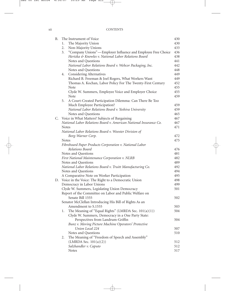| X11 | <b>CONTENTS</b> |  |  |
|-----|-----------------|--|--|
|     |                 |  |  |

| В. |              | The Instrument of Voice                                           | 430 |
|----|--------------|-------------------------------------------------------------------|-----|
|    | 1.           | The Majority Union                                                | 430 |
|    | 2.           | Non-Majority Unions                                               | 433 |
|    | 3.           | "Company Unions"-Employer Influence and Employee Free Choice      | 436 |
|    |              | Hertzka & Knowles v. National Labor Relations Board               | 438 |
|    |              | Notes and Questions                                               | 441 |
|    |              | National Labor Relations Board v. Webcor Packaging, Inc.          | 442 |
|    |              | Notes and Questions                                               | 448 |
|    | 4.           | Considering Alternatives                                          | 449 |
|    |              | Richard B. Freeman & Joel Rogers, What Workers Want               | 449 |
|    |              | Thomas A. Kochan, Labor Policy For The Twenty-First Century       | 452 |
|    |              | Note                                                              | 455 |
|    |              | Clyde W. Summers, Employee Voice and Employer Choice              | 455 |
|    |              | Note                                                              | 459 |
|    | 5.           | A Court-Created Participation Dilemma: Can There Be Too           |     |
|    |              | Much Employee Participation?                                      | 459 |
|    |              | National Labor Relations Board v. Yeshiva University              | 459 |
|    |              | Notes and Questions                                               | 465 |
| С. |              | Voice in What Matters? Subjects of Bargaining                     | 467 |
|    |              | National Labor Relations Board v. American National Insurance Co. | 467 |
|    | <b>Notes</b> |                                                                   | 471 |
|    |              | National Labor Relations Board v. Wooster Division of             |     |
|    |              | Borg-Warner Corp.                                                 | 472 |
|    | <b>Notes</b> |                                                                   | 475 |
|    |              | Fibreboard Paper Products Corporation v. National Labor           |     |
|    |              | Relations Board                                                   | 476 |
|    |              | Notes and Questions                                               | 481 |
|    |              | First National Maintenance Corporation v. NLRB                    | 482 |
|    |              | Notes and Questions                                               | 489 |
|    |              | National Labor Relations Board v. Truitt Manufacturing Co.        | 492 |
|    |              | Notes and Questions                                               | 494 |
|    |              | A Comparative Note on Worker Participation                        | 495 |
| D. |              | Voice in the Voice: The Right to a Democratic Union               | 498 |
|    |              | Democracy in Labor Unions                                         | 499 |
|    |              | Clyde W. Summers, Legislating Union Democracy                     | 501 |
|    |              | Report of the Committee on Labor and Public Welfare on            |     |
|    |              | Senate Bill 1555                                                  | 502 |
|    |              | Senator McClellan Introducing His Bill of Rights As an            |     |
|    |              | Amendment to S.1555                                               | 503 |
|    | 1.           | The Meaning of "Equal Rights" (LMRDA Sec. 101(a)(1))              | 504 |
|    |              | Clyde W. Summers, Democracy in a One Party State:                 |     |
|    |              | Perspectives from Landrum-Griffin                                 | 504 |
|    |              | Bunz v. Moving Picture Machine Operators' Protective              |     |
|    |              | Union Local 224                                                   | 507 |
|    |              | Notes and Questions                                               | 510 |
|    | 2.           | The Meaning of "Freedom of Speech and Assembly"                   |     |
|    |              | $(LMRDA$ Sec. $101(a)(2))$                                        | 512 |
|    |              | Salzhandler v. Caputo                                             | 512 |
|    |              | Notes                                                             | 517 |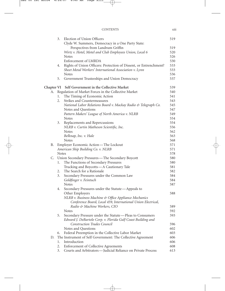#### CONTENTS xiii

|            | 3.           | Election of Union Officers                                        | 519 |
|------------|--------------|-------------------------------------------------------------------|-----|
|            |              | Clyde W. Summers, Democracy in a One Party State:                 |     |
|            |              | Perspectives from Landrum Griffin                                 | 519 |
|            |              | Wirtz v. Hotel, Motel and Club Employees Union, Local 6           | 520 |
|            |              | <b>Notes</b>                                                      | 526 |
|            |              | Enforcement of LMRDA                                              | 530 |
|            | 4.           | Rights of Union Officers: Protection of Dissent, or Entrenchment? | 533 |
|            |              | Sheet Metal Workers' International Association v. Lynn            | 533 |
|            |              | <b>Notes</b>                                                      | 536 |
|            | 5.           | Government Trusteeships and Union Democracy                       | 537 |
| Chapter VI |              | Self Government in the Collective Market                          | 539 |
| А.         |              | Regulation of Market Forces in the Collective Market              | 540 |
|            | 1.           | The Timing of Economic Action                                     | 541 |
|            | 2.           | Strikes and Countermeasures                                       | 543 |
|            |              | National Labor Relations Board v. Mackay Radio & Telegraph Co.    | 545 |
|            |              | Notes and Questions                                               | 547 |
|            |              | Pattern Makers' League of North America v. NLRB                   | 549 |
|            |              | <b>Notes</b>                                                      | 554 |
|            | 3.           | Replacements and Repercussions                                    | 554 |
|            |              | NLRB v. Curtin Matheson Scientific, Inc.                          | 556 |
|            |              | <b>Notes</b>                                                      | 562 |
|            |              | Belknap, Inc. v. Hale                                             | 563 |
|            |              | <b>Notes</b>                                                      | 568 |
| В.         |              | Employer Economic Action-The Lockout                              | 571 |
|            |              | American Ship Building Co. v. NLRB                                | 571 |
|            | <b>Notes</b> |                                                                   | 578 |
| C.         |              | Union Secondary Pressures—The Secondary Boycott                   | 580 |
|            | 1.           | The Functions of Secondary Pressures                              | 580 |
|            |              | Trucking and Boycotts-A Cautionary Tale                           | 581 |
|            | 2.           | The Search for a Rationale                                        | 582 |
|            | 3.           | Secondary Pressures under the Common Law                          | 584 |
|            |              | Goldfinger v. Feintuch                                            | 584 |
|            |              | <b>Notes</b>                                                      | 587 |
|            | 4.           | Secondary Pressures under the Statute-Appeals to                  |     |
|            |              | Other Employers                                                   | 588 |
|            |              | NLRB v. Business Machine & Office Appliance Mechanics             |     |
|            |              | Conference Board, Local 459, International Union Electrical,      |     |
|            |              | Radio & Machine Workers, CIO                                      | 589 |
|            |              | <b>Notes</b>                                                      | 592 |
|            | 5.           | Secondary Pressure under the Statute-Pleas to Consumers           | 593 |
|            |              | Edward J. DeBartolo Corp. v. Florida Gulf Coast Building and      |     |
|            |              | Construction Trades Council                                       | 596 |
|            |              | Notes and Questions                                               | 602 |
|            | 6.           | Federal Preemption in the Collective Labor Market                 | 603 |
| D.         |              | The Instrument of Self Government: The Collective Agreement       | 606 |
|            | 1.           | Introduction                                                      | 606 |
|            | 2.           | Enforcement of Collective Agreements                              | 608 |
|            | 3.           | Courts and Arbitrators-Judicial Reliance on Private Process       | 613 |
|            |              |                                                                   |     |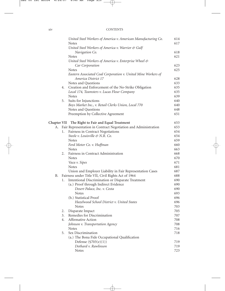#### xiv CONTENTS

|    |    | United Steel Workers of America v. American Manufacturing Co.<br><b>Notes</b>        | 614<br>617 |
|----|----|--------------------------------------------------------------------------------------|------------|
|    |    | United Steel Workers of America v. Warrior & Gulf                                    |            |
|    |    | Navigation Co.                                                                       | 618        |
|    |    | <b>Notes</b>                                                                         | 621        |
|    |    | United Steel Workers of America v. Enterprise Wheel &                                |            |
|    |    | Car Corporation                                                                      | 623        |
|    |    | <b>Notes</b>                                                                         | 625        |
|    |    | Eastern Associated Coal Corporation v. United Mine Workers of<br>America District 17 | 628        |
|    |    | Notes and Questions                                                                  | 633        |
|    | 4. | Creation and Enforcement of the No-Strike Obligation                                 | 635        |
|    |    | Local 174, Teamsters v. Lucas Flour Company                                          | 635        |
|    |    | <b>Notes</b>                                                                         | 639        |
|    | 5. | Suits for Injunctions                                                                | 640        |
|    |    | Boys Market Inc., v. Retail Clerks Union, Local 770                                  | 640        |
|    |    | Notes and Questions                                                                  | 648        |
|    |    | Preemption by Collective Agreement                                                   | 651        |
|    |    | Chapter VII The Right to Fair and Equal Treatment                                    | 653        |
| А. |    | Fair Representation in Contract Negotiation and Administration                       | 653        |
|    | 1. | Fairness in Contract Negotiations                                                    | 654        |
|    |    | Steele v. Louisville & N.R. Co.                                                      | 654        |
|    |    | <b>Notes</b>                                                                         | 659        |
|    |    | Ford Motor Co. v. Huffman                                                            | 660        |
|    |    | <b>Notes</b>                                                                         | 663        |
|    | 2. | Fairness in Contract Administration                                                  | 668        |
|    |    | <b>Notes</b>                                                                         | 670        |
|    |    | Vaca v. Sipes                                                                        | 671        |
|    |    | <b>Notes</b>                                                                         | 681        |
|    |    | Union and Employer Liability in Fair Representation Cases                            | 687        |
| Β. |    | Fairness under Title VII, Civil Rights Act of 1964                                   | 688        |
|    | 1. | Intentional Discrimination or Disparate Treatment                                    | 690        |
|    |    | (a.) Proof through Indirect Evidence                                                 | 690        |
|    |    | Desert Palace, Inc. v. Costa                                                         | 690        |
|    |    | <b>Notes</b>                                                                         | 693        |
|    |    | (b.) Statistical Proof                                                               | 696        |
|    |    | Hazelwood School District v. United States                                           | 696        |
|    |    | <b>Notes</b>                                                                         | 703        |
|    | 2. | Disparate Impact                                                                     | 705        |
|    | 3. | Remedies for Discrimination                                                          | 707        |
|    | 4. | Affirmative Action                                                                   | 708        |
|    |    | Johnson v. Transportation Agency                                                     | 708        |
|    |    | <b>Notes</b>                                                                         | 716        |
|    | 5. | Sex Discrimination                                                                   | 718        |
|    |    | (a.) The Bona Fide Occupational Qualification                                        |            |
|    |    | Defense $(\$703(e)(1))$                                                              | 719        |
|    |    | Dothard v. Rawlinson                                                                 | 719        |
|    |    | Notes                                                                                | 723        |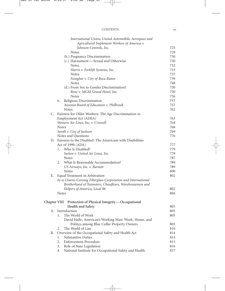#### CONTENTS xv

|    | International Union, United Automobile, Aerospace and        |            |
|----|--------------------------------------------------------------|------------|
|    | Agricultural Implement Workers of America v.                 |            |
|    | Johnson Controls, Inc.                                       | 725        |
|    | <b>Notes</b>                                                 | 729        |
|    | (b.) Pregnancy Discrimination                                | 730        |
|    | (c.) Harassment-Sexual and Otherwise                         | 730        |
|    | <b>Notes</b>                                                 | 732        |
|    | Harris v. Forklift Systems, Inc.                             | 733        |
|    | <b>Notes</b>                                                 | 737        |
|    | Faragher v. City of Boca Raton                               | 739        |
|    | <b>Notes</b>                                                 | 748        |
|    | (d.) From Sex to Gender Discrimination?                      | 750        |
|    | Rene v. MGM Grand Hotel, Inc.                                | 750        |
|    | <b>Notes</b>                                                 | 756        |
|    | Religious Discrimination<br>6.                               | 757        |
|    | Ansonia Board of Education v. Philbrook                      | 757        |
|    | <b>Notes</b>                                                 | 762        |
|    | C. Fairness for Older Workers: The Age Discrimination in     |            |
|    | Employment Act (ADEA)                                        | 763        |
|    | Western Air Lines, Inc. v. Criswell                          | 764        |
|    | <b>Notes</b>                                                 | 768        |
|    | Smith v. City of Jackson                                     | 769        |
|    | Notes and Questions                                          | 776        |
|    | D. Fairness to the Disabled: The Americans with Disabilities |            |
|    | Act of 1990 (ADA)                                            | 777        |
|    | Who Is Disabled?<br>1.                                       | 779        |
|    | Sutton v. United Air Lines, Inc.<br><b>Notes</b>             | 779        |
|    | What Is Reasonable Accommodation?<br>2.                      | 787<br>789 |
|    |                                                              | 789        |
|    | US Airways, Inc. v. Barnett<br><b>Notes</b>                  | 800        |
| Ε. | Equal Treatment in Arbitration                               | 802        |
|    | In re Owens-Corning Fiberglass Corporation and International |            |
|    | Brotherhood of Teamsters, Chauffeurs, Warehousemen and       |            |
|    | Helpers of America, Local 86                                 | 802        |
|    | <b>Notes</b>                                                 | 804        |
|    |                                                              |            |
|    | Chapter VIII Protection of Physical Integrity-Occupational   |            |
|    | Health and Safety                                            | 805        |
| А. | Introduction                                                 | 805        |
|    | The World of Work<br>1.                                      | 805        |
|    | David Halle, American's Working Man: Work, Home, and         |            |
|    | Politics among Blue Collar Property Owners                   | 805        |
|    | The World of Law<br>2.                                       | 810        |
| В. | Overview of the Occupational Safety and Health Act           | 814        |
|    | Substantive Duties<br>1.                                     | 814        |
|    | 2.<br><b>Enforcement Procedure</b>                           | 815        |
|    | Role of State Legislation<br>3.                              | 816        |
|    | National Institute for Occupational Safety and Health<br>4.  | 817        |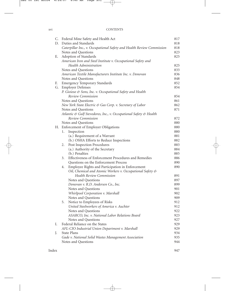#### xvi CONTENTS

|    | C. Federal Mine Safety and Health Act                                 | 817 |
|----|-----------------------------------------------------------------------|-----|
| D. | Duties and Standards                                                  | 818 |
|    | Caterpillar Inc., v. Occupational Safety and Health Review Commission | 818 |
|    | Notes and Questions                                                   | 823 |
| Е. | Adoption of Standards                                                 | 825 |
|    | American Iron and Steel Institute v. Occupational Safety and          |     |
|    | Health Administration                                                 | 825 |
|    | Notes and Questions                                                   | 833 |
|    | American Textile Manufacturers Institute Inc. v. Donovan              | 836 |
|    | Notes and Questions                                                   | 848 |
| F. | <b>Emergency Temporary Standards</b>                                  | 852 |
| G. | <b>Employer Defenses</b>                                              | 854 |
|    | P. Gioioso & Sons, Inc. v. Occupational Safety and Health             |     |
|    | Review Commission                                                     | 854 |
|    | Notes and Questions                                                   | 861 |
|    | New York State Electric & Gas Corp. v. Secretary of Labor             | 862 |
|    | Notes and Questions                                                   | 871 |
|    | Atlantic & Gulf Stevedores, Inc., v. Occupational Safety & Health     |     |
|    | Review Commission                                                     | 872 |
|    | Notes and Questions                                                   | 880 |
|    | H. Enforcement of Employer Obligations                                | 880 |
|    | 1.<br>Inspection                                                      | 880 |
|    | (a.) Requirement of a Warrant                                         | 881 |
|    | (b.) OSHA Efforts to Reduce Inspections                               | 882 |
|    | Post Inspection Procedures<br>2.                                      | 883 |
|    | (a.) Authority of the Secretary                                       | 884 |
|    | (b.) Penalties                                                        | 885 |
|    | Effectiveness of Enforcement Procedures and Remedies<br>3.            | 886 |
|    | Questions on the Enforcement Process                                  | 890 |
|    | Employee Rights and Participation in Enforcement<br>4.                | 890 |
|    | Oil, Chemical and Atomic Workers v. Occupational Safety &             |     |
|    | <b>Health Review Commission</b>                                       | 891 |
|    | Notes and Questions                                                   | 897 |
|    | Donovan v. R.D. Andersen Co., Inc.                                    | 899 |
|    | Notes and Questions                                                   | 901 |
|    | Whirlpool Corporation v. Marshall                                     | 902 |
|    | Notes and Questions                                                   | 909 |
|    | Notice to Employees of Risks<br>5.                                    | 912 |
|    | United Steelworkers of America v. Auchter                             | 912 |
|    | Notes and Questions                                                   | 922 |
|    | ASARCO, Inc. v. National Labor Relations Board                        | 923 |
|    | Notes and Questions                                                   | 927 |
| Ι. | Federal Reliance on the States                                        | 929 |
|    | AFL-CIO Industrial Union Department v. Marshall                       | 929 |
| J. | State Plans                                                           | 934 |
|    | Gade v. National Solid Wastes Management Association                  | 935 |
|    | Notes and Questions                                                   | 944 |
|    |                                                                       |     |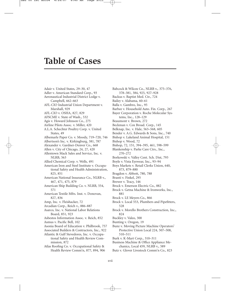## **Table of Cases**

Adair v. United States, 29–30, 47 Adler v. American Standard Corp., 93 Aeronautical Industrial District Lodge v. Campbell, 662–663 AFL-CIO Industrial Union Department v. Marshall, 929 AFL-CIO v. OSHA, 827, 829 AFSCME v. State of Wash., 532 Agis v. Howard Johnson Co., 275 Airline Pilots Assoc. v. Miller, 420 A.L.A. Schechter Poultry Corp. v. United States, 49 Albemarle Paper Co. v. Moody, 719–720, 746 Albertson's Inc. v. Kirkingburg, 381, 787 Alexander v. Gardner-Denver Co., 668 Allen v. City of Chicago, 24, 27, 420 Allentown Mack Sales and Service, Inc. v. NLRB, 563 Allied Chemical Corp. v. Wells, 491 American Iron and Steel Institute v. Occupational Safety and Health Administration, 825, 851 American National Insurance Co., NLRB v., 467, 471, 475, 879 American Ship Building Co. v. NLRB, 554, 571 American Textile Mfrs. Inst. v. Donovan, 827, 836 Amp, Inc. v. Fleishacker, 72 Arcadian Corp., Reich v., 886–887 Asarco, Inc. v. National Labor Relations Board, 851, 923 Asbestos Information Assoc. v. Reich, 852 Asmus v. Pacific Bell, 102 Asonia Board of Education v. Philbrook, 757 Associated Builders & Contractors, Inc., 922 Atlantic & Gulf Stevedores, Inc. v. Occupational Safety and Health Review Commission, 872 Atlas Roofing Co. v. Occupational Safety & Health Review Comm'n, 877, 894, 906

- Babcock & Wilcox Co., NLRB v., 375–376,
- 378–381, 384, 925, 927–928
- Backus v. Baptist Med. Ctr., 724
- Bailey v. Alabama, 60–61
- Balla v. Gambro, Inc., 95
- Barbee v. Household Auto. Fin. Corp., 267
- Bayer Corporation v. Roche Molecular Systems, Inc., 128–129
- Beaumont v. Brown, 272
- Beckman v. Cox Broad. Corp., 145
- Belknap, Inc. v. Hale, 563–568, 605
- Bender v. A.G. Edwards & Sons, Inc., 740
- Bishop v. Lakeland Animal Hospital, 151
- Bishop v. Wood, 72
- Bishop, 72, 151, 394–395, 461, 598–599
- Blankenship v. Parke Care Ctrs., Inc., 270–272
- Borkowski v. Valley Cent. Sch. Dist, 793
- Boyle v. Vista Eyewear, Inc., 93–94
- Boys Markets v. Retail Clerks Union, 640, 873, 879–880
- Bragdon v. Abbott, 780, 788
- Branti v. Finkel, 295
- Brewer v. Tracy, 146
- Brock v. Emerson Electric Co., 882
- Brock v. Getna Machine & Ironworks, Inc., 881
- Brock v. LE Meyers Co., 866
- Brock v. Local 553, Plumbers and Pipefitters, 528
- Brock v. Morello Brothers Construction, Inc., 824
- Buckley v. Valeo, 300
- Bunting v. Oregon, 19
- Bunz v. Moving Picture Machine Operators' Protective Union Local 224, 507–508, 510–511
- Burk v. K-Mart Corp., 310–311
- Business Machine & Office Appliance Mechanics, Local 459, NLRB v., 589
- Butz v. Glover Livestock Comm'n Co., 823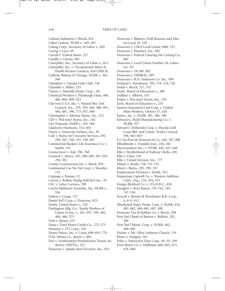Cabinet Industries v. Brock, 852 Cabot Carbon, NLRB v., 445–447 Calang Corp., Secretary of Labor v., 820 Carnig v. Carr, 69 Carroll v. United States, 227 Castillo v. Givens, 882 Caterpillar, Inc., Secretary of Labor v., 821 Caterpillar, Inc. v. Occupational Safety & Health Review Comm'n, 818 CHECK Catholic Bishop of Chicago, NLRB v., 461, 598 Chambers v. Omaha Girls Club, 730 Chandler v. Miller, 233 Chavez v. Manville Prods. Corp., 301 Chemical Workers v. Pittsburgh Glass, 484, 486, 806, 809, 923 Chevron U.S.A. Inc. v. Natural Res. Def. Council, Inc., 279, 359, 366, 380–381, 444, 481, 598, 773, 857, 869 Christopher v. Safeway Stores, Inc., 511 CID v. Wal-mart Stores, Inc., 262 City Disposal, NLRB v., 365–366 Claiborne Hardware, 314, 603 Cleary v. American Airlines, Inc., 85 Cole v. Burns Int'l Security Services, 295, 299, 507, 530, 537, 738, 807 Commercial Bankers Life Insurance Co. v. Smith, 143 Connecticut v. Teal, 706, 768 Connick v. Myers, 195, 288–289, 291–292, 294, 301 Connie Construction Inc. v. Reich, 859 Continental Car-Na-Var Corp. v. Moseley, 133 Coppage v. Kansas, 32 Cotran v. Rollins Hudig Hall Int'l Inc., 85 CSC v. Letter Carriers, 299 Curtin Matheson Scientific, Inc, NLRB v., 556 Dalton v. Camp, 127 Daniel Int'l Corp. v. Donovan, 823 Darby, United States v., 218 Darlington Mfg. Co., Textile Workers of Union of Am. v., 361–397, 399, 402, 484, 486, 575 Deal v. Spears, 213 Dean v. Ford Motor Credit Co., 272–273 Demasse v. ITT Corp., 102 Desert Palace, Inc. v. Costa, 690–691, 774 D.M. Sabina Co., Reich v., 885 Doe v. Southeastern Pennsylvania Transit Authority (SEPTA), 252

Donovan v. Adams Steel Erection, Inc., 823

Donovan v. Blasters, Drill Runners and Miners Local 29, 529 Donovan v. CSEA Local Union 1000, 532 Donovan v. Hackney, Inc., 881 Donovan v. Federal Clearing Die Casting Co., 882 Donovan v. Local Union Number 20, Laborers, 527 Donovan v. OCAW, 897 Donovan v. OSHRAC, 897 Donovan v. R.D. Anderson Co. Inc., 899 Dothard v. Rawlinson, 705, 719, 724, 726 Doyle v. Brock, 527, 532 Doyle, Board of Education v., 288 Duffner v. Alberty, 143 Dukes v. Wal-mart Stores, Inc., 703 Earls, Board of Education v., 233 Eastern Associated Coal Corp. v. United Mine Workers, District 17, 628 Eastex, Inc. v. NLRB, 381, 386, 390 Edward G. Budd Manufacturing Co. v. NLRB, 357 Edward J. DeBartolo Corp. v. Florida Gulf Coast Bld. and Constr. Trades Council, 596, 602–603 E.I. Du Pont de Nemours & Co., 445, 707, 898 Elbeshbeshy v. Franklin Inst., 256, 282 Electromation Inc., v. NLRB, 444, 447–448 Ellis v. Brotherhood of Railway Clerks, 420 Ellis v. Chao, 526 Ellis v. United Airways, Inc., 777 Ellison v. Brady, 738, 751–752 Elrod v. Burns, 295, 299, 537 Employment Division v. Smith, 763 Emporium Capwell Co. v. Western Addition Cmty. Org., 170, 434, 553 Ensign-Bickford Co. v. O.S.H.R.C., 820 Faragher v. Boca Raton, 739–742, 745, 747–749 Farwell v. Boston & Worchester R.R. Corp., 4, 8–9, 812 Fibreboard Paper Prods. Corp. v. NLRB, 476, 481–482, 484–485, 487, 490 Firestone Tire & Rubber Co. v. Bruch, 298 First Nat'l Bank of Boston v. Bellotti, 292, 300 First Nat'l Maint. Corp. v. NLRB, 482, 489–492 Fischer v. Mt. Olive Lutheran Church, 219 Flores v. Amigon, 763 Foley v. Interactive Data Corp., 85, 95, 109 Ford Motor Co. v. Huffman, 660, 665, 673, 678, 680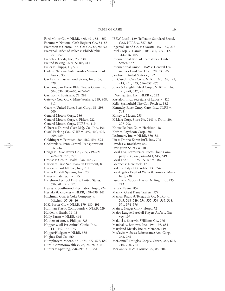- Ford Motor Co. v. NLRB, 465, 491, 551–552
- Fortune v. National Cash Register Co., 84–85
- Frampton v. Central Ind. Gas Co., 88, 90, 92 Fraternal Order of Police v. Philadelphia,
- 251, 257
- French v. Foods, Inc., 23, 330
- Freund Baking Co. v. NLRB, 411
- Fuller v. Phipps, 16, 505
- Gade v. National Solid Wastes Management Assoc., 935
- Garibaldi v. Lucky Food Stores, Inc., 157, 329
- Garmon, San Diego Bldg. Trades Council v., 604, 636, 605–606, 673–677
- Garrison v. Louisiana, 72, 292
- Gateway Coal Co. v. Mine Workers, 649, 908, 911
- Geary v. United States Steel Corp., 89, 298, 300
- General Motors Corp., 386
- General Motors Corp. v. Piskor, 222
- General Motors Corp., NLRB v., 419
- Gilbert v. Durand Glass Mfg. Co., Inc., 103 Gissel Packing Co., NLRB v., 397, 400, 402,
- 409, 439
- Goldfinger v. Feintuch, 584, 587, 594–595
- Goclowski v. Penn Central Transportation Co., 667
- Griggs v. Duke Power Co., 705, 719–721, 769–771, 773, 776
- Grouse v. Group Health Plan, Inc., 72
- Harless v. First Nat'l Bank in Fairmont, 89
- Harless v. Forklift Sys., Inc., 751
- Harris Forklift Systems, Inc., 733
- Hayes v. Eateries, Inc., 95
- Hazelwood School Dist. v. United States, 696, 701, 712, 723
- Healey v. Southwood Psychiatric Hosp., 724
- Hertzka & Knowles v. NLRB, 438–439, 441
- Hitchman Coal & Coke Company v. Mitchell, 37–39, 46
- H.K. Porter Co. v. NLRB, 179–180, 491
- Hoffman Plastic Compounds v. NLRB, 329
- Holden v. Hardy, 16–18
- Holly Farms v. NLRB, 444
- Hooters of Am. v. Phillips, 725
- Hopper v. All Pet Animal Clinic, Inc., 141–142, 144–149
- HopperHudgens v. NLRB, 385
- Hughes Tool Co., 666
- Humphrey v. Moore, 671, 673, 677–678, 680
- Hunt, Commonwealth v., 23, 26–28, 310
- Hunter v. Sparling, 298–299, 313, 551
- IBEW Local 1129 (Jefferson Standard Broad. Co.), NLRB v., 387–388
- Ingersoll-Rand Co. v. Ciavatta, 157–159, 298
- Intel Corp. v. Hamidi, 303–307, 309–312, 314–316, 405
- International Bhd. of Teamsters v. United States, 532
- International Union, UAW v. General Dynamics Land Sys. Div., 570, 835, 850
- Jacobsen, United States v., 192
- J.I. Case,J.I. Case Co. v. NLRB, 165, 169, 171, 418, 431, 433, 656–657, 675
- Jones & Laughlin Steel Corp., NLRB v., 167, 171, 478, 547, 911
- J. Weingarten, Inc., NLRB v., 222
- Kastalon, Inc., Secretary of Labor v., 820
- Kelly-Springfield Tire Co., Reich v., 882
- Kentucky River Cmty. Care, Inc., NLRB v., 748
- Kinsey v. Macur, 238
- K-Mart Corp. Store No. 7441 v. Trotti, 204, 207–208
- Knoxville Iron Co. v. Harbison, 18
- Korb v. Raytheon Corp., 301
- Lechmere, Inc. v. NLRB, 380–381
- Liu v. Donna Karan Int'l, Inc., 705
- Livadas v. Bradshaw, 652
- Livingston Shirt Co., 403
- Local 174, Teamsters v. Lucas Flour Company, 635, 640, 642–643, 645, 649
- Local 1229, I.B.E.W., NLRB v., 387
- Lochner v. New York, 17
- Loder v. City of Glendale, 233, 247
- Los Angeles Dep't of Water & Power v. Manhart, 730
- Luedtke v. Nabors Alaska Drilling, Inc., 235, 243
- Lyng v. Payne, 857
- Mack v. Great Dane Trailers, 579
- Mackay Radio & Telegraph Co, NLRB v., 545, 548–549, 554–555, 559, 563, 568, 571, 574–576
- Main v. Skaggs Cmty. Hosp., 72
- Major League Baseball Players Ass'n v. Garvey, 107
- Makovi v. Sherwin-Williams Co., 276
- Marshall v. Barlow's, Inc., 194–195, 881
- Maryland Metals, Inc. v. Metzner, 119
- McCavitt v. Swiss Reinsurance Am. Corp., 263, 265
- McDonnell Douglas Corp v. Green, 386, 695, 710, 720, 774
- McGann v. H & H Music Co., 85, 204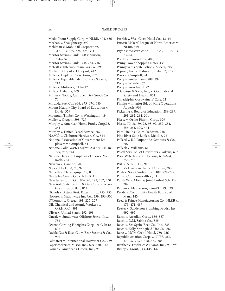Medo Photo Supply Corp. v. NLRB, 474, 656 Meehan v. Shaughnessy, 292 Mehlman v. Mobil Oil Corporation, 317–323, 325–326, 328–331 Meritor Savings Bank, FSB v. Vinson, 734–736 Meritor Savings Bank, FSB, 734–736 Metcalf v. Intermountain Gas Co., 899 Midland, City of v. O'Bryant, 412 Miller v. Dept. of Corrections, 737 Miller v. Equitable Life Insurance Society,  $212$ Miller v. Motorola, 211–212 Mills v. Alabama, 409 Minter v. Tootle, Campbell Dry Goods Co., 70 Miranda Fuel Co., 666, 673–674, 680 Mount Healthy City Board of Education v. Doyle, 359 Mountain Timber Co. v. Washington, 19 Muller v. Oregon, 598, 727 Murphy v. American Home Prods. Corp.95, 264 Murphy v. United Parcel Service, 787 NAACP v. Claiborne Hardware Co., 314 National Association of Government Employees v. Campbell, 84 National Solid Wastes Mgmt. Ass'n v. Killian, 729, 937, 944 National Treasure Employees Union v. Von Raab, 224 Navarro v. Gannon, 509 Nees v. Hock, 88, 90, 92 Nemeth v. Clark Equip. Co., 85 Nestle Ice Cream Co. v. NLRB, 411 New Jersey v. T.L.O., 194–196, 199, 202, 230 New York State Electric & Gas Corp. v. Secretary of Labor, 835, 862 Nichols v. Azteca Rest. Enters., Inc., 753, 755 Novosel v. Nationwide Ins. Co., 239, 296–300 O'Connor v. Ortega, 191, 225–227 Oil, Chemical and Atomic Workers v. O.S.H.R.C., 891 Oliver v. United States, 192, 198 Oncale v. Sundowner Offshore Servs., Inc., 752 Owens-Corning Fiberglass Corp., et al, In re,  $802$ Pacific Gas & Elec. Co. v. Bear Stearns & Co., 940 Palmateer v. International Harvester Co., 239 Paperworkers v. Misco, Inc., 629–630, 632 Parnar v. Americana Hotels, Inc., 93

Parrish v. West Coast Hotel Co., 18–19 Pattern Makers' League of North America v. NLRB, 549 Payne v. Western & Atl. R.R. Co., 10, 15, 63, 73–74 Peerless Plywood Co., 409, Penny Power Shopping News, 435 Pennsylvania State Police v. Suders, 749 Pepsico, Inc. v. Redmond, 131–132, 135 Perez v. Campbell, 941 Perry v. Sindermann, 288, 292 Perry v. Wheeler, 67 Perry v. Woodward, 72 P. Gioioso & Sons, Inc., v. Occupational Safety and Health, 854 Philadelphia Cordwainers' Case, 21 Phillips v. Interior Bd. of Mine Operations Appeals, 909 Pickering v. Board of Education, 288–289, 291–292, 294, 301 Pierce v. Ortho Pharm. Corp., 329 Pierce, 70, 88–89, 93, 98–99, 252–254, 256–261, 329, 444 Pilot Life Ins. Co. v. Dedeaux, 938 Pine River State Bank v. Mettille, 72 Pollard v. E.I. Dupont de Nemours & Co., 707 Pollack v. Williams, 61 Postal Serv. Bd. of Governors v. Aikens, 692 Price Waterhouse v. Hopkins, 692–694, 753–755 Prill v. NLRB, 336, 910 Puffer's Hardware Inc. v. Donovan, 945 Pugh v. See's Candies, Inc., 109, 721–722 Pullis, Commonwealth v., 21 Randi W. v. Monroe Joint Unified Sch. Dist., 282 Rankin v. McPherson, 286–291, 293, 295 Reddy v. Community Health Found. of Man., 145 Reed & Prince Manufacturing Co., NLRB v., 173, 471, 487 Reeves v. Sanderson Plumbing Prods., Inc., 692, 695 Reich v. Arcadian Corp., 886–887 Reich v. D.M. Sabina Co., 885 Reich v. Sea Sprite Boat Co., Inc., 885 Reich v. Kelly-Springfield Tire Co., 882 Rene v. MGM Grand Hotel, 750–756 Republic Aviation Corp. v. NLRB, 367, 370–372, 376–378, 383–384 Reuther v. Fowler & Williams, Inc., 90, 298 Ridley v. Krout, 143–145, 147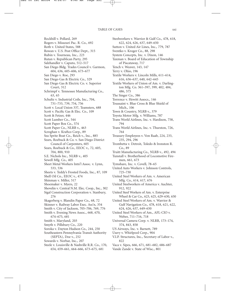Rockhill v. Pollard, 269 Rogers v. Missouri Pac. R. Co., 692 Roth v. United States, 588 Rowan v. U.S. Post Office Dept., 315 Rubin v. Tourneau, Inc., 223 Rutan v. Republican Party, 295 Salzhandler v. Caputo, 512–517 San Diego Bldg. Trades Council v. Garmon, 604, 636, 605–606, 673–677 San Diego v. Roe, 293 San Diego Gas & Electric Co., 329 San Diego Gas & Electric Co. v. Superior Court, 312 Schrimpf v. Tennessee Manufacturing Co., 63, 65 Schultz v. Industrial Coils, Inc., 704, 731–733, 739, 754, 756 Scott v. Local Union 337, Teamsters, 688 Scott v. Pacific Gas & Elec. Co., 109 Scott & Fetzer, 446 Scott Lumber Co., 544 Scott Paper Box Co., 574 Scott Paper Co., NLRB v., 463 Scroghan v. Kraftco Corp., 89 Sea Sprite Boat Co., Reich v., Inc., 885 Sears, Roebuck & Co. v. San Diego District Council of Carpenters, 605 Sears, Roebuck & Co., EEOC v., 72, 605, 704, 800, 910 S.E. Nichols Inc., NLRB v., 405 Sewell Mfg. Co., 405 Sheet Metal Workers Intn'l Assoc. v. Lynn, 533, 536 Sheets v. Teddy's Frosted Foods, Inc., 87, 109 Shell Oil Co., EEOC v., 474 Shinman v. Miller, 517 Shoemaker v. Myers, 22 Shovelin v. Central N.M. Elec. Coop., Inc., 302 Sigal Construction Corporation v. Stanbury, 276 Skagerberg v. Blandin Paper Co., 68, 72 Skinner v. Railway Labor Exec. Ass'n, 354 Smith v. City of Jackson, 705–706, 769, 776 Smith v. Evening News Assoc., 668, 670, 674–675, 681 Smith v. Maryland, 203 Smyth v. Pillsbury Co., 220 Soroka v. Dayton Hudson Co., 244, 250 Southeastern Pennsylvania Transit Authority (SEPTA), Doe v., 252 Sowards v. Norbar, Inc., 207 Steele v. Louisville & Nashville R.R. Co., 170, 654, 659–661, 664–666, 673–675, 681

Steelworkers v. Warrior & Gulf Co., 478, 618,

- 622, 624, 626, 637, 649–650
- Sutton v. United Air Lines, Inc., 779, 787
- Sventko v. Kroger Co., 88, 298
- System Concepts, Inc. v. Dixon, 146
- Taxman v. Board of Education of Township of Piscataway, 717
- Tench v. Weaver, 143, 147
- Terry v. Ohio, 196
- Textile Workers v. Lincoln Mills, 611–614, 616, 636–637, 640, 642–645
- Textile Workers of Union of Am. v. Darlington Mfg. Co. 361–397, 399, 402, 484, 486, 575
- The Singer Co., 386
- Torrence v. Hewitt Assocs., 146
- Toussaint v. Blue Cross & Blue Shield of Mich., 106
- Town & Country, NLRB v., 379
- Toyota Motor Mfg. v. Williams, 787
- Trans World Airlines, Inc. v. Hardison, 758, 794
- Trans World Airlines, Inc. v. Thurston, 726, 764
- Treasury Employees v. Von Raab, 224, 233, 235, 294, 296
- Trombetta v. Detroit, Toledo & Ironston R. Co., 89
- Truitt Manufacturing Co., NLRB v., 492, 494
- Tunstall v. Brotherhood of Locomotive Firemen, 661, 673
- Tymshare, Inc. v. Covell, 78–65
- United Auto Workers v. Johnson Controls, 725–730
- United Steel Workers of Am. v. American Mfg. Co., 614, 617, 676
- United Steelworkers of America v. Auchter, 912, 922
- United Steel Workers of Am. v. Enterprise Wheel & Car Co., 623, 625, 629–630, 650
- United Steel Workers of Am. v. Warrior & Gulf Navigation Co., 478, 618, 621, 622, 624, 626, 637, 649–650
- United Steel Workers of Am., AFL-CIO v. Weber, 711–716, 718
- Universal Camera Corp. v. NLRB, 173–174, 374, 843, 858
- US Airways, Inc. v. Barnett, 789
- Usery v. Whirlpool Corp., 904
- V.I.P. Structures, Inc., Secretary of Labor v., 822
- Vaca v. Sipes, 666, 671, 681–682, 686–687
- Vande Zande v. State of Wisc., 801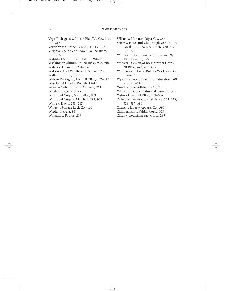- Vega-Rodriguez v. Puerto Rico Tel. Co., 213, 218 Vegelahn v. Guntner, 23, 29, 41, 43, 412 Virginia Electric and Power Co., NLRB v., 393, 400 Wal-Mart Stores, Inc., State v., 264–266 Washington Aluminum, NLRB v., 908, 910 Waters v. Churchill, 294–296 Watson v. Fort Worth Bank & Trust, 705 Watts v. Indiana, 266 Webcor Packaging, Inc., NLRB v., 442–447 West Coast Hotel v. Parrish, 18–19 Western Airlines, Inc. v. Criswell, 764 Whalen v. Roe, 255, 257
- Whirlpool Corp., Marshall v., 909
- Whirlpool Corp. v. Marshall, 893, 902
- White v. Davis, 238, 247
- Whyte v. Schlage Lock Co., 135
- Wieder v. Skala, 96
- Williams v. Poulos, 219

Wilson v. Monarch Paper Co., 269

Wirtz v. Hotel and Club Employees Union, Local 6, 520–521, 525–526, 770–772, 774, 776

Woolley v. Hoffmann-La Roche, Inc., 97, 103, 105–107, 329

Wooster Division of Borg-Warner Corp., NLRB v., 472, 481, 485

W.R. Grace & Co. v. Rubber Workers, 630, 632–633

- Wygant v. Jackson Board of Education, 708, 710, 715–716
- Yaindl v. Ingersoll-Rand Co., 298
- Yellow Cab Co. v. Industrial Comm'n, 339
- Yeshiva Univ., NLRB v., 459–466
- Zellerbach Paper Co. et al, In Re, 332–333, 339, 387, 390
- Zheng v. Liberty Apparel Co., 593
- Zimmerman v. Valdak Corp., 608
- Zinda v. Louisiana Pac. Corp., 283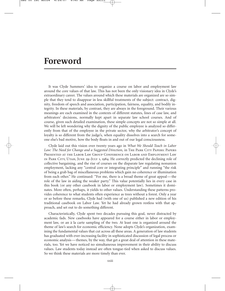## **Foreword**

It was Clyde Summers' idea to organize a course on labor and employment law around the core values of that law. This has not been the only visionary idea in Clyde's extraordinary career. The values around which these materials are organized are so simple that they tend to disappear in less skillful treatments of the subject: contract, dignity, freedom of speech and association, participation, fairness, equality, and bodily integrity. In these materials, by contrast, they are always in the foreground. Their various meanings are each examined in the contexts of different statutes, lines of case law, and arbitrators' decisions, normally kept apart in separate law school courses. And of course, given such detailed examination, these simple concepts are not so simple at all. We will be left wondering why the dignity of the public employee is analyzed so differently from that of the employee in the private sector, why the arbitrator's concept of loyalty is so different from the judge's, when equality dissolves into a search for someone else's bad motive, how the body floats in and out of our legal consciousness.

Clyde laid out this vision over twenty years ago in *What We Should Teach in Labor* Law: The Need for Change and a Suggested Direction, in THE PARK CITY PAPERS: PAPERS Presented at the Labor Law Group Conference on Labor and Employment Law in Park City, Utah, June 29–July 1, 1984. He correctly predicted the declining role of collective bargaining, and the rise of courses on the disparate law regulating nonunion employment, lacking any "central core or integrating principle" and running "the risk of being a grab bag of miscellaneous problems which gain no coherence or illumination from each other." He continued: "For me, there is a broad theme of great appeal — the role of the law in aiding the weaker party." This value potentially lies in every case in this book (or any other casebook in labor or employment law). Sometimes it dominates. More often, perhaps, it yields to other values. Understanding these patterns provides coherence to what students often experience as trees without a forest. Only a year or so before these remarks, Clyde had (with one of us) published a new edition of his traditional casebook on Labor Law. Yet he had already grown restless with that approach, and set out to do something different.

Characteristically, Clyde spent two decades pursuing this goal, never distracted by academic fads. New casebooks have appeared for a course either in labor or employment law, or an à la carte sampling of the two. At least one is organized around the theme of law's search for economic efficiency. None adopts Clyde's organization, examining the fundamental values that cut across all these areas. A generation of law students has graduated with ever-increasing facility in sophisticated discussion of legal process or economic analysis — themes, by the way, that get a great deal of attention in these materials, too. Yet we have noticed no simultaneous improvement in their ability to discuss values. Law students today instead are often tongue-tied when asked to discuss values. So we think these materials are more timely than ever.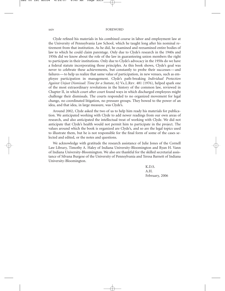#### xxiv FOREWORD

Clyde refined his materials in his combined course in labor and employment law at the University of Pennsylvania Law School, which he taught long after his nominal retirement from that institution. As he did, he examined and reexamined entire bodies of law to which he could claim parentage. Only due to Clyde's research in the 1940s and 1950s did we know about the role of the law in guaranteeing union members the right to participate in their institutions. Only due to Clyde's advocacy in the 1950s do we have a federal statute incorporating those principles. As this book shows, Clyde's goal was never to celebrate these achievements, but constantly to probe their successes — and failures — to help us realize that same value of participation, in new venues, such as employee participation in management. Clyde's path-breaking *Individual Protection Against Unjust Dismissal: Time for a Statute*, 62 Va.L.Rev. 481 (1976), helped spark one of the most extraordinary revolutions in the history of the common law, reviewed in Chapter II, in which court after court found ways in which discharged employees might challenge their dismissals. The courts responded to no organized movement for legal change, no coordinated litigation, no pressure groups. They bowed to the power of an idea, and that idea, in large measure, was Clyde's.

Around 2002, Clyde asked the two of us to help him ready his materials for publication. We anticipated working with Clyde to add newer readings from our own areas of research, and also anticipated the intellectual treat of working with Clyde. We did not anticipate that Clyde's health would not permit him to participate in the project. The values around which the book is organized are Clyde's, and so are the legal topics used to illustrate them, but he is not responsible for the final form of some of the cases selected and edited, or the notes and questions.

We acknowledge with gratitude the research assistance of Julie Jones of the Cornell Law Library, Timothy A. Haley of Indiana University-Bloomington and Ryan H. Vann of Indiana University-Bloomington. We also are thankful for the skilled secretarial assistance of Silvana Burgese of the University of Pennsylvania and Teresa Barnett of Indiana University-Bloomington.

> K.D.S. A.H. February, 2006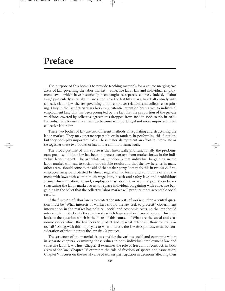## **Preface**

The purpose of this book is to provide teaching materials for a course merging two areas of law governing the labor market — collective labor law and individual employment law — which have historically been taught as separate courses. Indeed, "Labor Law," particularly as taught in law schools for the last fifty years, has dealt entirely with collective labor law, the law governing union-employer relations and collective bargaining. Only in the last fifteen years has any substantial attention been given to individual employment law. This has been prompted by the fact that the proportion of the private workforce covered by collective agreements dropped from 40% in 1955 to 9% in 2004. Individual employment law has now become as important, if not more important, than collective labor law.

These two bodies of law are two different methods of regulating and structuring the labor market. They may operate separately or in tandem in performing this function, but they both play important roles. These materials represent an effort to interrelate or tie together these two bodies of law into a common framework.

The broad premise of this course is that historically and functionally the predominant purpose of labor law has been to protect workers from market forces in the individual labor market. The articulate assumption is that individual bargaining in the labor market will lead to socially undesirable results and that the law here, as in many other areas, should come to the aid of the weaker party. It may do this in two ways: first, employees may be protected by direct regulation of terms and conditions of employment with laws such as minimum wage laws, health and safety laws and prohibitions against discrimination; second, employees may obtain a measure of protection by restructuring the labor market so as to replace individual bargaining with collective bargaining in the belief that the collective labor market will produce more acceptable social results.

If the function of labor law is to protect the interests of workers, then a central question must be "What interests of workers should the law seek to protect?" Government intervention in the market has political, social and economic costs, so the law should intervene to protect only those interests which have significant social values. This then leads to the question which is the focus of this course — "What are the social and economic values which the law seeks to protect and to what extent are those values protected?" Along with this inquiry as to what interests the law *does* protect, must be consideration of what interests the law *should* protect.

The structure of the materials is to consider the various social and economic values in separate chapters, examining those values in both individual employment law and collective labor law. Thus, Chapter II examines the role of freedom of contract, in both areas of the law; Chapter IV examines the role of freedom of speech and association; Chapter V focuses on the social value of worker participation in decisions affecting their